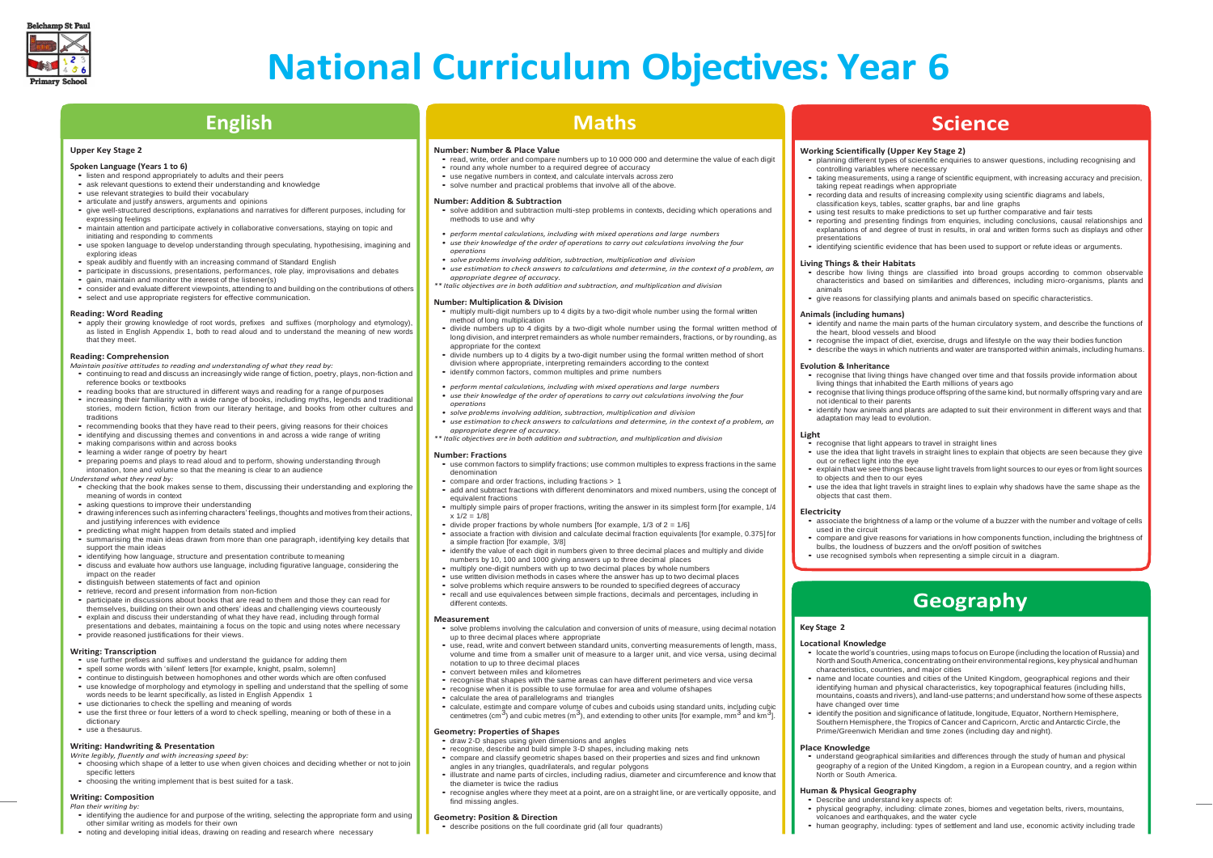### **Working Scientifically (Upper Key Stage 2)**

• planning different types of scientific enquiries to answer questions, including recognising and

• taking measurements, using <sup>a</sup> range of scientific equipment, with increasing accuracy and precision,

• recording data and results of increasing complexity using scientific diagrams and labels

• reporting and presenting findings from enquiries, including conclusions, causal relationships and explanations of and degree of trust in results, in oral and written forms such as displays and other

• identifying scientific evidence that has been used to support or refute ideas or arguments.

classification keys, tables, scatter graphs, bar and line graphs

- controlling variables where necessary taking repeat readings when appropriate
- 
- 
- presentations

• using test results to make predictions to set up further comparative and fair tests

### **Living Things & their Habitats**

• describe how living things are classified into broad groups according to common observable characteristics and based on similarities and differences, including micro-organisms, plants and

- 
- animals

• give reasons for classifying plants and animals based on specific characteristics.

### **Animals (including humans)**

• identify and name the main parts of the human circulatory system, and describe the functions of

• recognise the impact of diet, exercise, drugs and lifestyle on the way their bodies function • describe the ways in which nutrients and water are transported within animals, including humans

• compare and give reasons for variations in how components function, including the brightness of bulbs, the loudness of buzzers and the on/off position of switches • use recognised symbols when representing a simple circuit in a diagram.

- 
- the heart, blood vessels and blood
- 

### **Evolution & Inheritance**

• recognise that living things have changed over time and that fossils provide information about living things that inhabited the Earth millions of years ago

• recognise that living things produce offspring of the same kind, but normally offspring vary and are

• identify how animals and plants are adapted to suit their environment in different ways and that

• recognise that light appears to travel in straight lines

- 
- 
- not identical to their parents
- adaptation may lead to evolution.

### **Light**

• apply their growing knowledge of root words, prefixes and suffixes (morphology and etymology), as listed in English Appendix 1, both to read aloud and to understand the meaning of new words

• use the idea that light travels in straight lines to explain that objects are seen because they give

• explain that we see things because light travels from light sources to our eyes or from light sources

- 
- out or reflect light into the eye
- to objects and then to our eyes
- objects that cast them.

• use the idea that light travels in straight lines to explain why shadows have the same shape as the

### **Electricity**

• associate the brightness of <sup>a</sup> lamp or the volume of <sup>a</sup> buzzer with the number and voltage of cells

- used in the circuit
- 
- 

### **Science**



# **National Curriculum Objectives: Year 6**

**Upper Key Stage 2**

• listen and respond appropriately to adults and their peers

**Spoken Language (Years 1 to 6)**

• ask relevant questions to extend their understanding and knowledge • use relevant strategies to build their vocabulary

• articulate and justify answers, arguments and opinions

• give well-structured descriptions, explanations and narratives for different purposes, including for

expressing feelings

initiating and responding to comments



• use spoken language to develop understanding through speculating, hypothesising, imagining and

exploring ideas

• speak audibly and fluently with an increasing command of Standard English

• participate in discussions, presentations, performances, role play, improvisations and debates

• gain, maintain and monitor the interest of the listener(s)

• consider and evaluate different viewpoints, attending to and building on the contributions of others

• select and use appropriate registers for effective communication.

**Reading: Word Reading**

that they meet. **Reading: Comprehension**

*Maintain positive attitudes to reading and understanding of what they read by:*

• continuing to read and discuss an increasingly wide range of fiction, poetry, plays, non-fiction and

reference books or textbooks

• reading books that are structured in different ways and reading for a range ofpurposes • increasing their familiarity with a wide range of books, including myths, legends and traditional stories, modern fiction, fiction from our literary heritage, and books from other cultures and

traditions

• recommending books that they have read to their peers, giving reasons for their choices • identifying and discussing themes and conventions in and across <sup>a</sup> wide range of writing

• preparing poems and plays to read aloud and to perform, showing understanding through

- use common factors to simplify fractions; use common multiples to express fractions in the same denomination
- compare and order fractions, including fractions > 1
- add and subtract fractions with different denominators and mixed numbers, using the concept of equivalent fractions
- multiply simple pairs of proper fractions, writing the answer in its simplest form [for example, 1/4  $x 1/2 = 1/81$
- divide proper fractions by whole numbers [for example,  $1/3$  of  $2 = 1/6$ ]
- associate a fraction with division and calculate decimal fraction equivalents [for example, 0.375] for a simple fraction [for example, 3/8]
- identify the value of each digit in numbers given to three decimal places and multiply and divide numbers by 10, 100 and 1000 giving answers up to three decimal places
- multiply one-digit numbers with up to two decimal places by whole numbers
- use written division methods in cases where the answer has up to two decimal places
- solve problems which require answers to be rounded to specified degrees of accuracy • recall and use equivalences between simple fractions, decimals and percentages, including in different contexts.

• making comparisons within and across books • learning a wider range of poetry by heart

intonation, tone and volume so that the meaning is clear to an audience

*Understand what they read by:*

• checking that the book makes sense to them, discussing their understanding and exploring the

meaning of words in context

• asking questions to improve their understanding

• drawing inferences such as inferring characters' feelings, thoughts and motives from their actions,

- solve problems involving the calculation and conversion of units of measure, using decimal notation up to three decimal places where appropriate
- use, read, write and convert between standard units, converting measurements of length, mass, volume and time from a smaller unit of measure to a larger unit, and vice versa, using decimal notation to up to three decimal places
- convert between miles and kilometres
- recognise that shapes with the same areas can have different perimeters and vice versa
- recognise when it is possible to use formulae for area and volume ofshapes
- calculate the area of parallelograms and triangles
- calculate, estimate and compare volume of cubes and cuboids using standard units, including cubic centimetres (cm<sup>3</sup>) and cubic metres (m<sup>3</sup>), and extending to other units [for example, mm<sup>3</sup> and km<sup>3</sup>].

and justifying inferences with evidence

• predicting what might happen from details stated and implied

• summarising the main ideas drawn from more than one paragraph, identifying key details that

support the main ideas

• identifying how language, structure and presentation contribute to meaning

• discuss and evaluate how authors use language, including figurative language, considering the

impact on the reader

• distinguish between statements of fact and opinion • retrieve, record and present information from non-fiction

• participate in discussions about books that are read to them and those they can read for themselves, building on their own and others' ideas and challenging views courteously • explain and discuss their understanding of what they have read, including through formal presentations and debates, maintaining a focus on the topic and using notes where necessary

- characteristics, countries, and major cities
- have changed over time
- 

• provide reasoned justifications for their views.

**Writing: Transcription**

• name and locate counties and cities of the United Kingdom, geographical regions and their identifying human and physical characteristics, key topographical features (including hills, mountains, coasts and rivers), and land-use patterns; and understand how some of these aspects

• use further prefixes and suffixes and understand the guidance for adding them • spell some words with 'silent' letters [for example, knight, psalm, solemn]

• continue to distinguish between homophones and other words which are often confused • use knowledge of morphology and etymology in spelling and understand that the spelling of some

• use the first three or four letters of a word to check spelling, meaning or both of these in a

words needs to be learnt specifically, as listed in English Appendix 1 • use dictionaries to check the spelling and meaning of words

dictionary • use a thesaurus.

**Writing: Handwriting & Presentation** *Write legibly, fluently and with increasing speed by:*

• choosing which shape of a letter to use when given choices and deciding whether or not to join

• noting and developing initial ideas, drawing on reading and research where necessary

specific letters • choosing the writing implement that is best suited for a task.

### **Writing: Composition**

*Plan their writing by:*

• identifying the audience for and purpose of the writing, selecting the appropriate form and using other similar writing as models for their own

## **English**

### **Number: Number & Place Value**

- read, write, order and compare numbers up to <sup>10</sup> <sup>000</sup> <sup>000</sup> and determine the value of each digit
- round any whole number to a required degree of accuracy
- use negative numbers in context, and calculate intervals across zero
- solve number and practical problems that involve all of the above.

#### **Number: Addition & Subtraction**

- solve addition and subtraction multi-step problems in contexts, deciding which operations and methods to use and why
- maintain attention and participate actively in collaborative conversations, staying on topic and *• perform mental calculations, including with mixed operations and large numbers*
	- *• use their knowledge of the order of operations to carry out calculations involving the four operations*
	- *• solve problems involving addition, subtraction, multiplication and division*
	- *• use estimation to check answers to calculations and determine, in the context of a problem, an appropriate degree of accuracy.*

*\*\* Italic objectives are in both addition and subtraction, and multiplication and division*

### **Number: Multiplication & Division**

• multiply multi-digit numbers up to 4 digits by a two-digit whole number using the formal written method of long multiplication

- divide numbers up to 4 digits by a two-digit whole number using the formal written method of long division, and interpret remainders as whole number remainders, fractions, or by rounding, as appropriate for the context
- divide numbers up to 4 digits by a two-digit number using the formal written method of short division where appropriate, interpreting remainders according to the context
- identify common factors, common multiples and prime numbers
- *• perform mental calculations, including with mixed operations and large numbers • use their knowledge of the order of operations to carry out calculations involving the four*
- *operations*
- *• solve problems involving addition, subtraction, multiplication and division*
- *• use estimation to check answers to calculations and determine, in the context of a problem, an appropriate degree of accuracy.*
- *\*\* Italic objectives are in both addition and subtraction, and multiplication and division*

### **Number: Fractions**

### **Measurement**

### **Geometry: Properties of Shapes**

- draw 2-D shapes using given dimensions and angles
- recognise, describe and build simple 3-D shapes, including making nets • compare and classify geometric shapes based on their properties and sizes and find unknown
- angles in any triangles, quadrilaterals, and regular polygons
- illustrate and name parts of circles, including radius, diameter and circumference and know that the diameter is twice the radius
- recognise angles where they meet at <sup>a</sup> point, are on <sup>a</sup> straight line, or are vertically opposite, and find missing angles.

### **Geometry: Position & Direction**

• describe positions on the full coordinate grid (all four quadrants)

### **Maths**

### **Key Stage 2**

### **Locational Knowledge**

• locate the world's countries, using maps tofocus on Europe (including the location of Russia) and North andSouthAmerica, concentrating ontheirenvironmental regions, key physical andhuman

• identify the position and significance of latitude, longitude, Equator, Northern Hemisphere, Southern Hemisphere, the Tropics of Cancer and Capricorn, Arctic and Antarctic Circle, the Prime/Greenwich Meridian and time zones (including day and night).

### **Place Knowledge**

• understand geographical similarities and differences through the study of human and physical geography of a region of the United Kingdom, a region in a European country, and a region within

North or South America.

### **Human & Physical Geography**

- Describe and understand key aspects of:
- 
- 

• physical geography, including: climate zones, biomes and vegetation belts, rivers, mountains, volcanoes and earthquakes, and the water cycle

• human geography, including: types of settlement and land use, economic activity including trade

## **Geography**